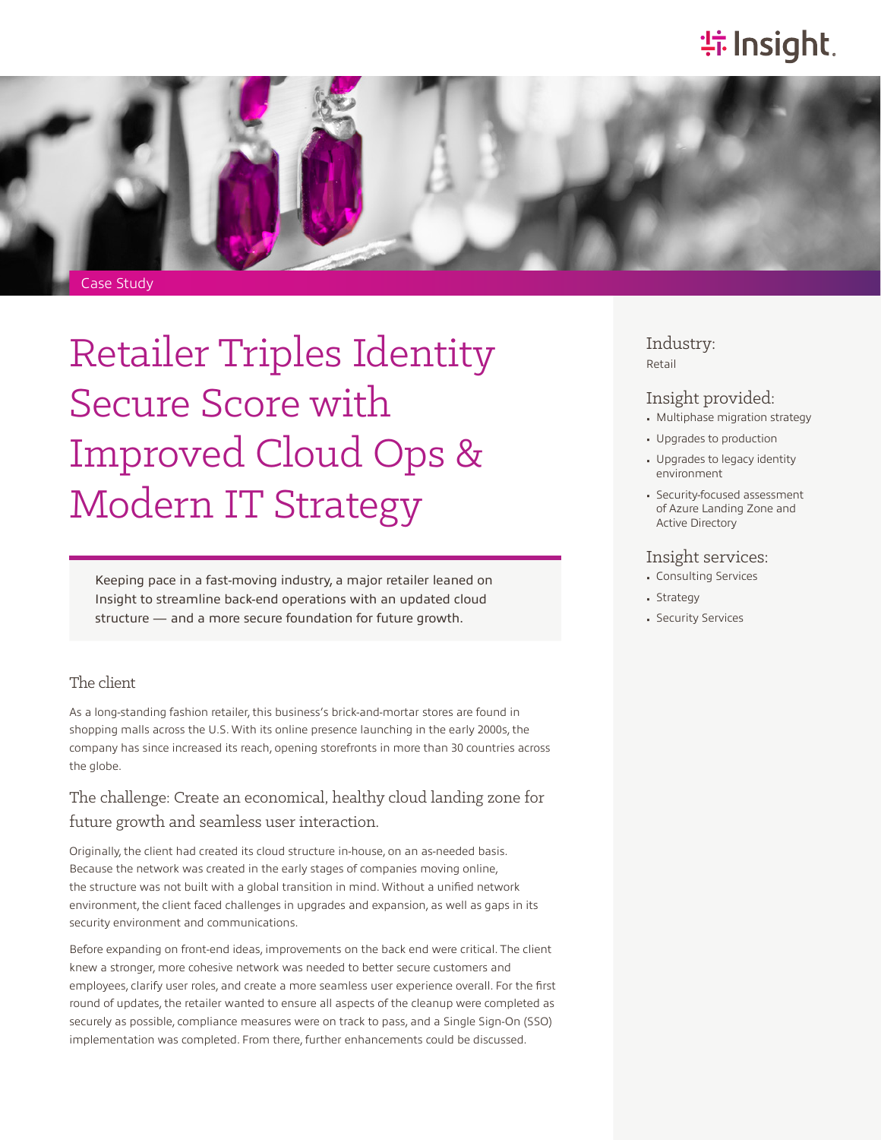# **特 Insight**.



# Retailer Triples Identity Secure Score with Improved Cloud Ops & Modern IT Strategy

Keeping pace in a fast-moving industry, a major retailer leaned on Insight to streamline back-end operations with an updated cloud structure — and a more secure foundation for future growth.

#### The client

As a long-standing fashion retailer, this business's brick-and-mortar stores are found in shopping malls across the U.S. With its online presence launching in the early 2000s, the company has since increased its reach, opening storefronts in more than 30 countries across the globe.

### The challenge: Create an economical, healthy cloud landing zone for future growth and seamless user interaction.

Originally, the client had created its cloud structure in-house, on an as-needed basis. Because the network was created in the early stages of companies moving online, the structure was not built with a global transition in mind. Without a unified network environment, the client faced challenges in upgrades and expansion, as well as gaps in its security environment and communications.

Before expanding on front-end ideas, improvements on the back end were critical. The client knew a stronger, more cohesive network was needed to better secure customers and employees, clarify user roles, and create a more seamless user experience overall. For the first round of updates, the retailer wanted to ensure all aspects of the cleanup were completed as securely as possible, compliance measures were on track to pass, and a Single Sign-On (SSO) implementation was completed. From there, further enhancements could be discussed.

Industry: Retail

#### Insight provided:

- Multiphase migration strategy
- Upgrades to production
- Upgrades to legacy identity environment
- Security-focused assessment of Azure Landing Zone and Active Directory

#### Insight services:

- Consulting Services
- Strategy
- Security Services